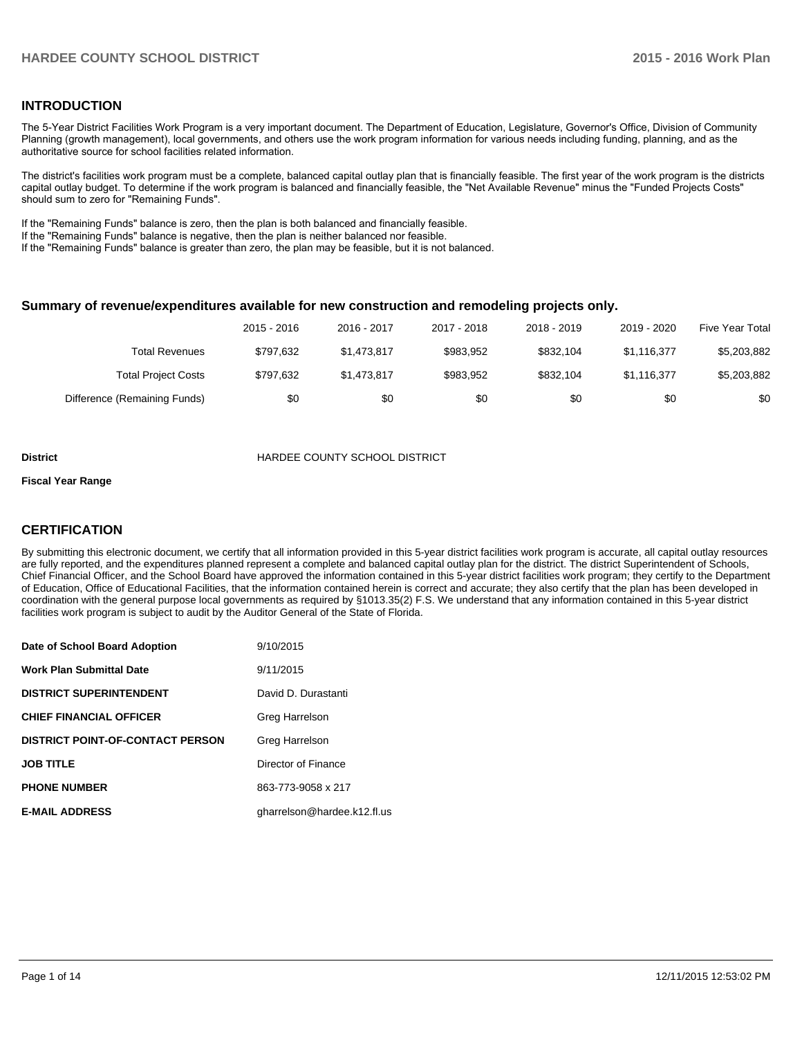# **INTRODUCTION**

The 5-Year District Facilities Work Program is a very important document. The Department of Education, Legislature, Governor's Office, Division of Community Planning (growth management), local governments, and others use the work program information for various needs including funding, planning, and as the authoritative source for school facilities related information.

The district's facilities work program must be a complete, balanced capital outlay plan that is financially feasible. The first year of the work program is the districts capital outlay budget. To determine if the work program is balanced and financially feasible, the "Net Available Revenue" minus the "Funded Projects Costs" should sum to zero for "Remaining Funds".

If the "Remaining Funds" balance is zero, then the plan is both balanced and financially feasible.

If the "Remaining Funds" balance is negative, then the plan is neither balanced nor feasible.

If the "Remaining Funds" balance is greater than zero, the plan may be feasible, but it is not balanced.

#### **Summary of revenue/expenditures available for new construction and remodeling projects only.**

|                              | 2015 - 2016 | 2016 - 2017 | 2017 - 2018 | 2018 - 2019 | 2019 - 2020 | Five Year Total |
|------------------------------|-------------|-------------|-------------|-------------|-------------|-----------------|
| Total Revenues               | \$797.632   | \$1.473.817 | \$983.952   | \$832.104   | \$1.116.377 | \$5,203,882     |
| <b>Total Project Costs</b>   | \$797.632   | \$1.473.817 | \$983.952   | \$832.104   | \$1.116.377 | \$5,203,882     |
| Difference (Remaining Funds) | \$0         | \$0         | \$0         | \$0         | \$0         | \$0             |

#### **District COUNTY SCHOOL DISTRICT**

#### **Fiscal Year Range**

# **CERTIFICATION**

By submitting this electronic document, we certify that all information provided in this 5-year district facilities work program is accurate, all capital outlay resources are fully reported, and the expenditures planned represent a complete and balanced capital outlay plan for the district. The district Superintendent of Schools, Chief Financial Officer, and the School Board have approved the information contained in this 5-year district facilities work program; they certify to the Department of Education, Office of Educational Facilities, that the information contained herein is correct and accurate; they also certify that the plan has been developed in coordination with the general purpose local governments as required by §1013.35(2) F.S. We understand that any information contained in this 5-year district facilities work program is subject to audit by the Auditor General of the State of Florida.

| Date of School Board Adoption           | 9/10/2015                   |
|-----------------------------------------|-----------------------------|
| <b>Work Plan Submittal Date</b>         | 9/11/2015                   |
| <b>DISTRICT SUPERINTENDENT</b>          | David D. Durastanti         |
| <b>CHIEF FINANCIAL OFFICER</b>          | Greg Harrelson              |
| <b>DISTRICT POINT-OF-CONTACT PERSON</b> | Greg Harrelson              |
| <b>JOB TITLE</b>                        | Director of Finance         |
| <b>PHONE NUMBER</b>                     | 863-773-9058 x 217          |
| <b>E-MAIL ADDRESS</b>                   | gharrelson@hardee.k12.fl.us |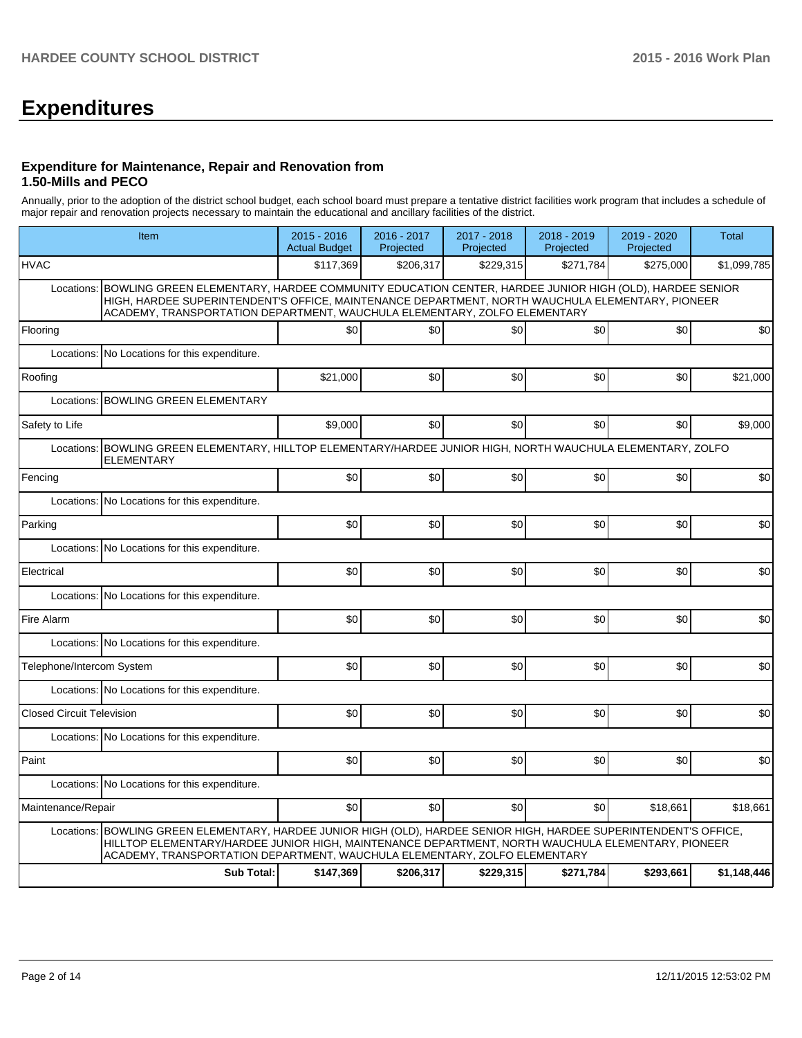# **Expenditures**

#### **Expenditure for Maintenance, Repair and Renovation from 1.50-Mills and PECO**

Annually, prior to the adoption of the district school budget, each school board must prepare a tentative district facilities work program that includes a schedule of major repair and renovation projects necessary to maintain the educational and ancillary facilities of the district.

|                                  | Item                                                                                                                                                                                                                                                                                      | $2015 - 2016$<br><b>Actual Budget</b> | 2016 - 2017<br>Projected | 2017 - 2018<br>Projected | 2018 - 2019<br>Projected | 2019 - 2020<br>Projected | <b>Total</b> |  |  |  |  |
|----------------------------------|-------------------------------------------------------------------------------------------------------------------------------------------------------------------------------------------------------------------------------------------------------------------------------------------|---------------------------------------|--------------------------|--------------------------|--------------------------|--------------------------|--------------|--|--|--|--|
| <b>HVAC</b>                      |                                                                                                                                                                                                                                                                                           | \$117,369                             | \$206,317                | \$229,315                | \$271,784                | \$275,000                | \$1,099,785  |  |  |  |  |
| Locations:                       | BOWLING GREEN ELEMENTARY, HARDEE COMMUNITY EDUCATION CENTER, HARDEE JUNIOR HIGH (OLD), HARDEE SENIOR<br>HIGH, HARDEE SUPERINTENDENT'S OFFICE, MAINTENANCE DEPARTMENT, NORTH WAUCHULA ELEMENTARY, PIONEER                                                                                  |                                       |                          |                          |                          |                          |              |  |  |  |  |
| Flooring                         |                                                                                                                                                                                                                                                                                           | \$0                                   | \$0                      | \$0                      | \$0                      | \$0                      | \$0          |  |  |  |  |
| Locations:                       | No Locations for this expenditure.                                                                                                                                                                                                                                                        |                                       |                          |                          |                          |                          |              |  |  |  |  |
| Roofing                          |                                                                                                                                                                                                                                                                                           | \$21,000                              | \$0                      | \$0                      | \$0                      | \$0                      | \$21,000     |  |  |  |  |
|                                  | Locations: BOWLING GREEN ELEMENTARY                                                                                                                                                                                                                                                       |                                       |                          |                          |                          |                          |              |  |  |  |  |
| Safety to Life                   |                                                                                                                                                                                                                                                                                           | \$9,000                               | \$0                      | \$0                      | \$0                      | \$0                      | \$9,000      |  |  |  |  |
|                                  | Locations: BOWLING GREEN ELEMENTARY, HILLTOP ELEMENTARY/HARDEE JUNIOR HIGH, NORTH WAUCHULA ELEMENTARY, ZOLFO<br><b>ELEMENTARY</b>                                                                                                                                                         |                                       |                          |                          |                          |                          |              |  |  |  |  |
| Fencing                          |                                                                                                                                                                                                                                                                                           | \$0                                   | \$0                      | \$0                      | \$0                      | \$0                      | \$0          |  |  |  |  |
|                                  | Locations: No Locations for this expenditure.                                                                                                                                                                                                                                             |                                       |                          |                          |                          |                          |              |  |  |  |  |
| Parking                          |                                                                                                                                                                                                                                                                                           | \$0                                   | \$0                      | \$0                      | \$0                      | \$0                      | \$0          |  |  |  |  |
|                                  | Locations: No Locations for this expenditure.                                                                                                                                                                                                                                             |                                       |                          |                          |                          |                          |              |  |  |  |  |
| Electrical                       |                                                                                                                                                                                                                                                                                           | \$0                                   | \$0                      | \$0                      | \$0                      | \$0                      | \$0          |  |  |  |  |
|                                  | Locations: No Locations for this expenditure.                                                                                                                                                                                                                                             |                                       |                          |                          |                          |                          |              |  |  |  |  |
| Fire Alarm                       |                                                                                                                                                                                                                                                                                           | \$0                                   | \$0                      | \$0                      | \$0                      | \$0                      | \$0          |  |  |  |  |
|                                  | Locations: No Locations for this expenditure.                                                                                                                                                                                                                                             |                                       |                          |                          |                          |                          |              |  |  |  |  |
| Telephone/Intercom System        |                                                                                                                                                                                                                                                                                           | \$0                                   | \$0                      | \$0                      | \$0 <sub>1</sub>         | \$0                      | \$0          |  |  |  |  |
|                                  | Locations: No Locations for this expenditure.                                                                                                                                                                                                                                             |                                       |                          |                          |                          |                          |              |  |  |  |  |
| <b>Closed Circuit Television</b> |                                                                                                                                                                                                                                                                                           | \$0                                   | \$0                      | \$0                      | \$0                      | \$0                      | \$0          |  |  |  |  |
|                                  | Locations: No Locations for this expenditure.                                                                                                                                                                                                                                             |                                       |                          |                          |                          |                          |              |  |  |  |  |
| Paint                            |                                                                                                                                                                                                                                                                                           | \$0                                   | \$0                      | \$0                      | \$0                      | \$0                      | \$0          |  |  |  |  |
|                                  | Locations: No Locations for this expenditure.                                                                                                                                                                                                                                             |                                       |                          |                          |                          |                          |              |  |  |  |  |
| Maintenance/Repair               |                                                                                                                                                                                                                                                                                           | \$0                                   | \$0                      | \$0                      | \$0                      | \$18,661                 | \$18,661     |  |  |  |  |
| Locations:                       | BOWLING GREEN ELEMENTARY, HARDEE JUNIOR HIGH (OLD), HARDEE SENIOR HIGH, HARDEE SUPERINTENDENT'S OFFICE,<br>HILLTOP ELEMENTARY/HARDEE JUNIOR HIGH, MAINTENANCE DEPARTMENT, NORTH WAUCHULA ELEMENTARY, PIONEER<br>ACADEMY, TRANSPORTATION DEPARTMENT, WAUCHULA ELEMENTARY, ZOLFO ELEMENTARY |                                       |                          |                          |                          |                          |              |  |  |  |  |
|                                  | <b>Sub Total:</b>                                                                                                                                                                                                                                                                         | \$147,369                             | \$206,317                | \$229,315                | \$271,784                | \$293,661                | \$1,148,446  |  |  |  |  |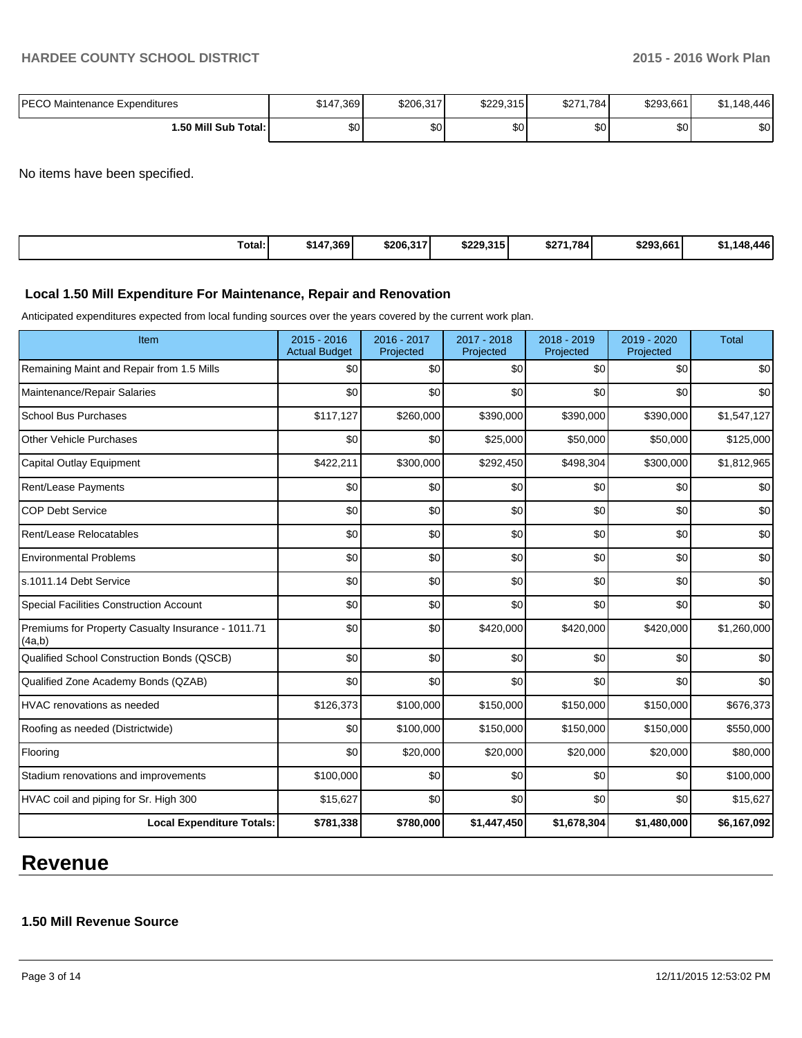| IPECO Maintenance Expenditures | \$147,369    | \$206,317 | \$229,315 | \$271,784 | \$293,661 | \$1.148.446  |
|--------------------------------|--------------|-----------|-----------|-----------|-----------|--------------|
| 1.50 Mill Sub Total: İ         | $\sim$<br>υυ | \$0       | \$0       | \$0       | ሶሳ<br>υU  | $\sim$<br>งบ |

No items have been specified.

| Total:<br>\$147,369<br>\$229,315<br>\$293.661<br>\$206,317<br>\$271,784<br>- D'I | .148.446 |
|----------------------------------------------------------------------------------|----------|
|----------------------------------------------------------------------------------|----------|

#### **Local 1.50 Mill Expenditure For Maintenance, Repair and Renovation**

Anticipated expenditures expected from local funding sources over the years covered by the current work plan.

| Item                                                         | $2015 - 2016$<br><b>Actual Budget</b> | 2016 - 2017<br>Projected | 2017 - 2018<br>Projected | 2018 - 2019<br>Projected | 2019 - 2020<br>Projected | <b>Total</b> |
|--------------------------------------------------------------|---------------------------------------|--------------------------|--------------------------|--------------------------|--------------------------|--------------|
| Remaining Maint and Repair from 1.5 Mills                    | \$0                                   | \$0                      | \$0                      | \$0                      | \$0                      | \$0          |
| Maintenance/Repair Salaries                                  | \$0                                   | \$0                      | \$0                      | \$0                      | \$0                      | \$0          |
| <b>School Bus Purchases</b>                                  | \$117,127                             | \$260,000                | \$390,000                | \$390,000                | \$390,000                | \$1,547,127  |
| <b>Other Vehicle Purchases</b>                               | \$0                                   | \$0                      | \$25,000                 | \$50,000                 | \$50,000                 | \$125,000    |
| Capital Outlay Equipment                                     | \$422,211                             | \$300,000                | \$292,450                | \$498,304                | \$300,000                | \$1,812,965  |
| Rent/Lease Payments                                          | \$0                                   | \$0                      | \$0                      | \$0                      | \$0                      | \$0          |
| <b>COP Debt Service</b>                                      | \$0                                   | \$0                      | \$0                      | \$0                      | \$0                      | \$0          |
| Rent/Lease Relocatables                                      | \$0                                   | \$0                      | \$0                      | \$0                      | \$0                      | \$0          |
| <b>Environmental Problems</b>                                | \$0                                   | \$0                      | \$0                      | \$0                      | \$0                      | \$0          |
| s.1011.14 Debt Service                                       | \$0                                   | \$0                      | \$0                      | \$0                      | \$0                      | \$0          |
| <b>Special Facilities Construction Account</b>               | \$0                                   | \$0                      | \$0                      | \$0                      | \$0                      | \$0          |
| Premiums for Property Casualty Insurance - 1011.71<br>(4a,b) | \$0                                   | \$0                      | \$420,000                | \$420,000                | \$420,000                | \$1,260,000  |
| Qualified School Construction Bonds (QSCB)                   | \$0                                   | \$0                      | \$0                      | \$0                      | \$0                      | \$0          |
| Qualified Zone Academy Bonds (QZAB)                          | \$0                                   | \$0                      | \$0                      | \$0                      | \$0                      | \$0          |
| <b>HVAC</b> renovations as needed                            | \$126,373                             | \$100,000                | \$150,000                | \$150,000                | \$150,000                | \$676,373    |
| Roofing as needed (Districtwide)                             | \$0                                   | \$100,000                | \$150,000                | \$150,000                | \$150,000                | \$550,000    |
| Flooring                                                     | \$0                                   | \$20,000                 | \$20,000                 | \$20,000                 | \$20,000                 | \$80,000     |
| Stadium renovations and improvements                         | \$100,000                             | \$0                      | \$0                      | \$0                      | \$0                      | \$100,000    |
| HVAC coil and piping for Sr. High 300                        | \$15,627                              | \$0                      | \$0                      | \$0                      | \$0                      | \$15,627     |
| <b>Local Expenditure Totals:</b>                             | \$781,338                             | \$780,000                | \$1,447,450              | \$1,678,304              | \$1,480,000              | \$6,167,092  |

# **Revenue**

# **1.50 Mill Revenue Source**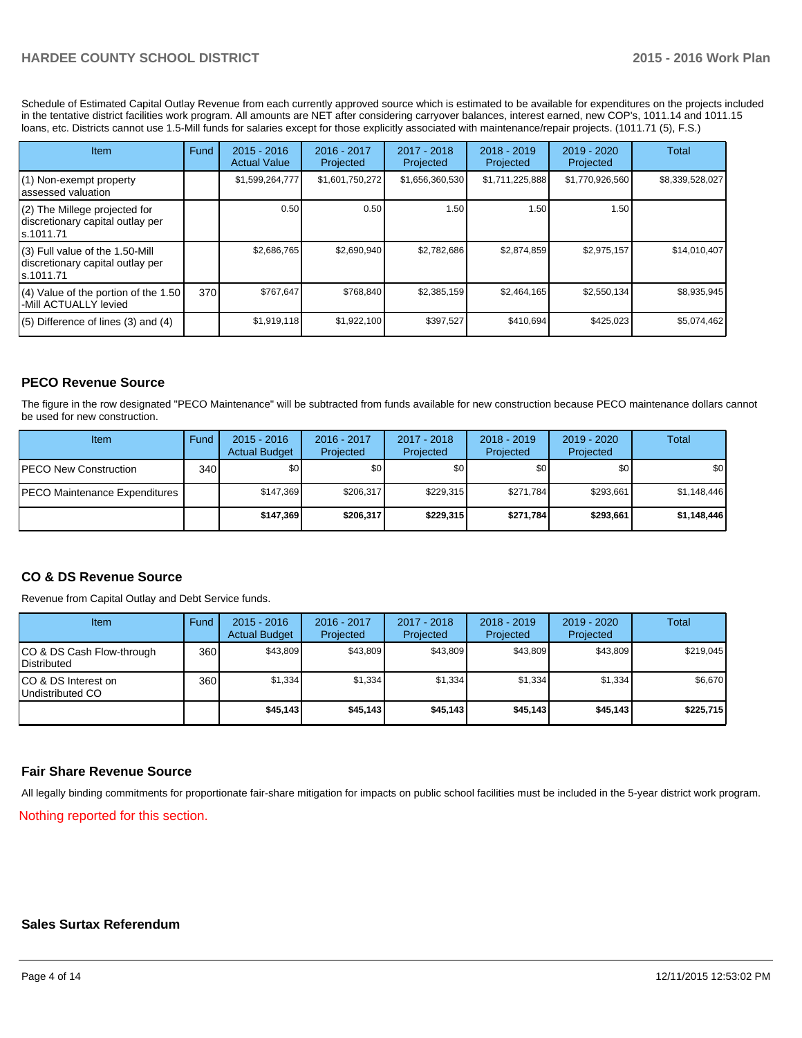Schedule of Estimated Capital Outlay Revenue from each currently approved source which is estimated to be available for expenditures on the projects included in the tentative district facilities work program. All amounts are NET after considering carryover balances, interest earned, new COP's, 1011.14 and 1011.15 loans, etc. Districts cannot use 1.5-Mill funds for salaries except for those explicitly associated with maintenance/repair projects. (1011.71 (5), F.S.)

| <b>Item</b>                                                                         | Fund | $2015 - 2016$<br><b>Actual Value</b> | $2016 - 2017$<br>Projected | $2017 - 2018$<br>Projected | 2018 - 2019<br>Projected | 2019 - 2020<br>Projected | Total           |
|-------------------------------------------------------------------------------------|------|--------------------------------------|----------------------------|----------------------------|--------------------------|--------------------------|-----------------|
| (1) Non-exempt property<br>lassessed valuation                                      |      | \$1,599,264,777                      | \$1,601,750,272            | \$1,656,360,530            | \$1,711,225,888          | \$1,770,926,560          | \$8,339,528,027 |
| (2) The Millege projected for<br>discretionary capital outlay per<br>ls.1011.71     |      | 0.50                                 | 0.50                       | 1.50                       | 1.50                     | 1.50                     |                 |
| $(3)$ Full value of the 1.50-Mill<br>discretionary capital outlay per<br>ls.1011.71 |      | \$2,686,765                          | \$2,690,940                | \$2,782,686                | \$2,874,859              | \$2,975,157              | \$14,010,407    |
| (4) Value of the portion of the 1.50<br>I-Mill ACTUALLY levied                      | 370  | \$767,647                            | \$768,840                  | \$2,385,159                | \$2,464,165              | \$2,550,134              | \$8,935,945     |
| $(5)$ Difference of lines $(3)$ and $(4)$                                           |      | \$1,919,118                          | \$1,922,100                | \$397,527                  | \$410,694                | \$425,023                | \$5,074,462     |

# **PECO Revenue Source**

The figure in the row designated "PECO Maintenance" will be subtracted from funds available for new construction because PECO maintenance dollars cannot be used for new construction.

| Item                                 | Fund | $2015 - 2016$<br><b>Actual Budget</b> | 2016 - 2017<br>Projected | 2017 - 2018<br>Projected | $2018 - 2019$<br>Projected | 2019 - 2020<br>Projected | Total       |
|--------------------------------------|------|---------------------------------------|--------------------------|--------------------------|----------------------------|--------------------------|-------------|
| <b>IPECO New Construction</b>        | 340  | \$0 <sub>1</sub>                      | \$0 <sub>1</sub>         | \$0                      | \$0                        | \$0                      | \$0         |
| <b>PECO Maintenance Expenditures</b> |      | \$147.369                             | \$206,317                | \$229.315                | \$271.784                  | \$293,661                | \$1,148,446 |
|                                      |      | \$147.369                             | \$206,317                | \$229,315                | \$271.784                  | \$293.661                | \$1,148,446 |

# **CO & DS Revenue Source**

Revenue from Capital Outlay and Debt Service funds.

| Item                                               | Fund | $2015 - 2016$<br><b>Actual Budget</b> | 2016 - 2017<br>Projected | 2017 - 2018<br>Projected | $2018 - 2019$<br>Projected | $2019 - 2020$<br>Projected | Total     |
|----------------------------------------------------|------|---------------------------------------|--------------------------|--------------------------|----------------------------|----------------------------|-----------|
| ICO & DS Cash Flow-through<br><b>I</b> Distributed | 360  | \$43,809                              | \$43,809                 | \$43,809                 | \$43,809                   | \$43,809                   | \$219,045 |
| ICO & DS Interest on<br>Undistributed CO           | 360  | \$1,334                               | \$1,334                  | \$1,334                  | \$1,334                    | \$1,334                    | \$6,670   |
|                                                    |      | \$45,143                              | \$45,143                 | \$45,143                 | \$45,143                   | \$45,143                   | \$225,715 |

### **Fair Share Revenue Source**

All legally binding commitments for proportionate fair-share mitigation for impacts on public school facilities must be included in the 5-year district work program.

Nothing reported for this section.

### **Sales Surtax Referendum**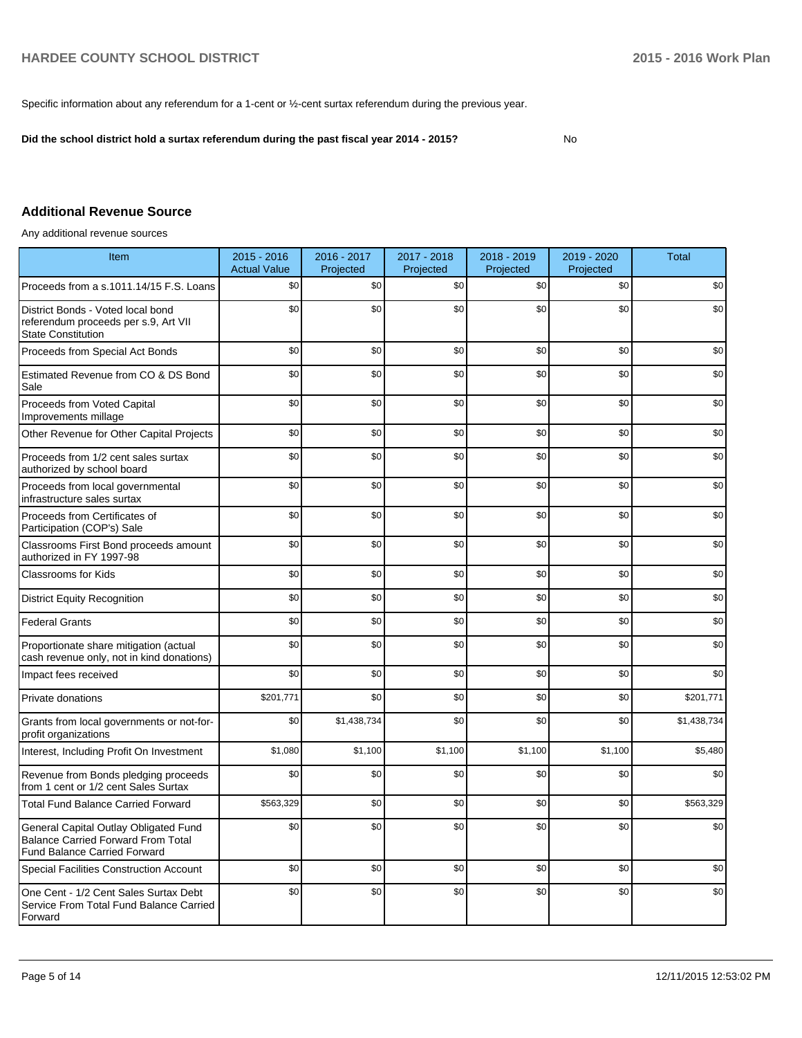Specific information about any referendum for a 1-cent or ½-cent surtax referendum during the previous year.

**Did the school district hold a surtax referendum during the past fiscal year 2014 - 2015?**

No

# **Additional Revenue Source**

Any additional revenue sources

| Item                                                                                                                      | $2015 - 2016$<br><b>Actual Value</b> | 2016 - 2017<br>Projected | 2017 - 2018<br>Projected | 2018 - 2019<br>Projected | 2019 - 2020<br>Projected | <b>Total</b> |
|---------------------------------------------------------------------------------------------------------------------------|--------------------------------------|--------------------------|--------------------------|--------------------------|--------------------------|--------------|
| Proceeds from a s.1011.14/15 F.S. Loans                                                                                   | \$0                                  | \$0                      | \$0                      | \$0                      | \$0                      | \$0          |
| District Bonds - Voted local bond<br>referendum proceeds per s.9, Art VII<br><b>State Constitution</b>                    | \$0                                  | \$0                      | \$0                      | \$0                      | \$0                      | \$0          |
| Proceeds from Special Act Bonds                                                                                           | \$0                                  | \$0                      | \$0                      | \$0                      | \$0                      | \$0          |
| Estimated Revenue from CO & DS Bond<br>Sale                                                                               | \$0                                  | \$0                      | \$0                      | \$0                      | \$0                      | \$0          |
| Proceeds from Voted Capital<br>Improvements millage                                                                       | \$0                                  | \$0                      | \$0                      | \$0                      | \$0                      | \$0          |
| Other Revenue for Other Capital Projects                                                                                  | \$0                                  | \$0                      | \$0                      | \$0                      | \$0                      | \$0          |
| Proceeds from 1/2 cent sales surtax<br>authorized by school board                                                         | \$0                                  | \$0                      | \$0                      | \$0                      | \$0                      | \$0          |
| Proceeds from local governmental<br>infrastructure sales surtax                                                           | \$0                                  | \$0                      | \$0                      | \$0                      | \$0                      | \$0          |
| Proceeds from Certificates of<br>Participation (COP's) Sale                                                               | \$0                                  | \$0                      | \$0                      | \$0                      | \$0                      | \$0          |
| Classrooms First Bond proceeds amount<br>authorized in FY 1997-98                                                         | \$0                                  | \$0                      | \$0                      | \$0                      | \$0                      | \$0          |
| Classrooms for Kids                                                                                                       | \$0                                  | \$0                      | \$0                      | \$0                      | \$0                      | \$0          |
| <b>District Equity Recognition</b>                                                                                        | \$0                                  | \$0                      | \$0                      | \$0                      | \$0                      | \$0          |
| <b>Federal Grants</b>                                                                                                     | \$0                                  | \$0                      | \$0                      | \$0                      | \$0                      | \$0          |
| Proportionate share mitigation (actual<br>cash revenue only, not in kind donations)                                       | \$0                                  | \$0                      | \$0                      | \$0                      | \$0                      | \$0          |
| Impact fees received                                                                                                      | \$0                                  | \$0                      | \$0                      | \$0                      | \$0                      | \$0          |
| Private donations                                                                                                         | \$201,771                            | \$0                      | \$0                      | \$0                      | \$0                      | \$201,771    |
| Grants from local governments or not-for-<br>profit organizations                                                         | \$0                                  | \$1,438,734              | \$0                      | \$0                      | \$0                      | \$1,438,734  |
| Interest, Including Profit On Investment                                                                                  | \$1,080                              | \$1,100                  | \$1,100                  | \$1,100                  | \$1,100                  | \$5,480      |
| Revenue from Bonds pledging proceeds<br>from 1 cent or 1/2 cent Sales Surtax                                              | \$0                                  | \$0                      | \$0                      | \$0                      | \$0                      | \$0          |
| <b>Total Fund Balance Carried Forward</b>                                                                                 | \$563,329                            | \$0                      | \$0                      | \$0                      | \$0                      | \$563,329    |
| General Capital Outlay Obligated Fund<br><b>Balance Carried Forward From Total</b><br><b>Fund Balance Carried Forward</b> | \$0                                  | \$0                      | \$0                      | \$0                      | \$0                      | \$0          |
| <b>Special Facilities Construction Account</b>                                                                            | \$0                                  | \$0                      | \$0                      | \$0                      | \$0                      | \$0          |
| One Cent - 1/2 Cent Sales Surtax Debt<br>Service From Total Fund Balance Carried<br>Forward                               | \$0                                  | \$0                      | \$0                      | \$0                      | \$0                      | \$0          |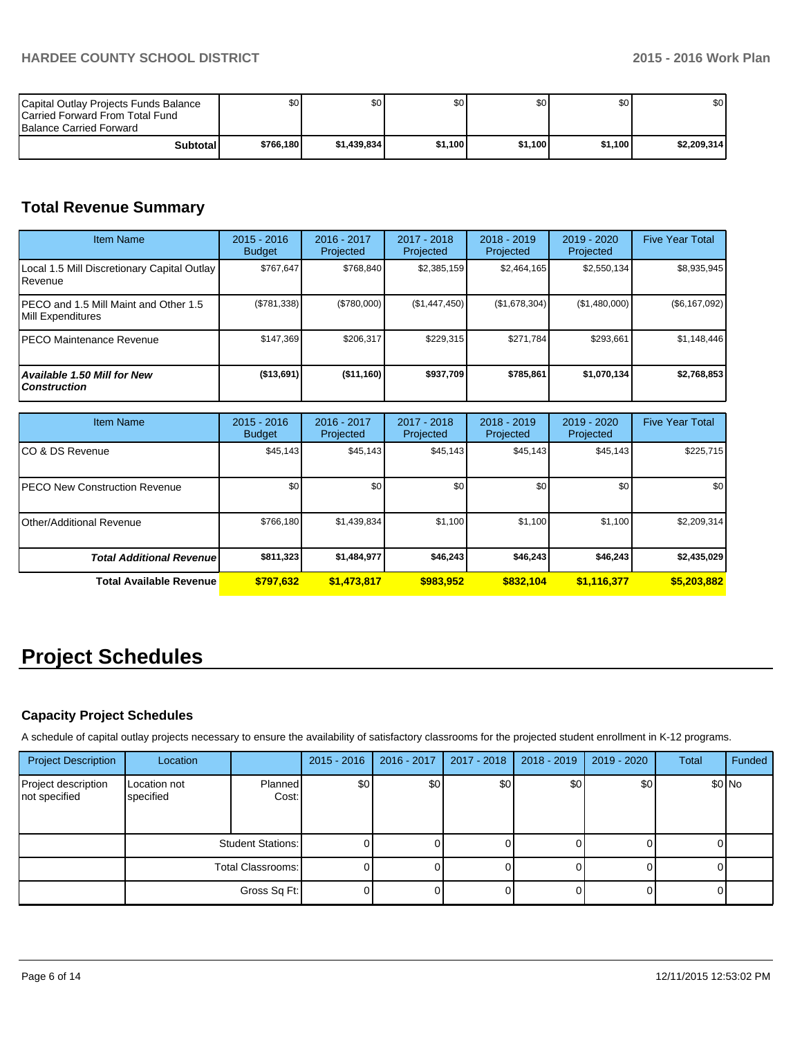| Capital Outlay Projects Funds Balance<br><b>ICarried Forward From Total Fund</b><br><b>Balance Carried Forward</b> | \$0       | \$0         | \$0     | \$0     | \$0     | \$0 <sub>1</sub> |
|--------------------------------------------------------------------------------------------------------------------|-----------|-------------|---------|---------|---------|------------------|
| <b>Subtotal</b>                                                                                                    | \$766,180 | \$1.439.834 | \$1.100 | \$1.100 | \$1.100 | \$2,209,314      |

# **Total Revenue Summary**

| <b>Item Name</b>                                           | $2015 - 2016$<br><b>Budget</b> | 2016 - 2017<br>Projected | 2017 - 2018<br><b>Projected</b> | $2018 - 2019$<br>Projected | $2019 - 2020$<br>Projected | <b>Five Year Total</b> |
|------------------------------------------------------------|--------------------------------|--------------------------|---------------------------------|----------------------------|----------------------------|------------------------|
| Local 1.5 Mill Discretionary Capital Outlay<br>l Revenue   | \$767,647                      | \$768.840                | \$2,385,159                     | \$2,464,165                | \$2,550,134                | \$8,935,945            |
| PECO and 1.5 Mill Maint and Other 1.5<br>Mill Expenditures | (\$781,338)                    | (\$780,000)              | (\$1,447,450)                   | (\$1,678,304)              | (\$1,480,000)              | (\$6,167,092)          |
| PECO Maintenance Revenue                                   | \$147.369                      | \$206.317                | \$229.315                       | \$271.784                  | \$293,661                  | \$1,148,446            |
| <b>Available 1.50 Mill for New</b><br><b>Construction</b>  | (\$13,691)                     | ( \$11,160]              | \$937,709                       | \$785.861                  | \$1,070,134                | \$2,768,853            |

| <b>Item Name</b>                      | $2015 - 2016$<br><b>Budget</b> | 2016 - 2017<br>Projected | 2017 - 2018<br>Projected | $2018 - 2019$<br>Projected | 2019 - 2020<br>Projected | <b>Five Year Total</b> |
|---------------------------------------|--------------------------------|--------------------------|--------------------------|----------------------------|--------------------------|------------------------|
| ICO & DS Revenue                      | \$45,143                       | \$45,143                 | \$45,143                 | \$45,143                   | \$45,143                 | \$225,715              |
| <b>IPECO New Construction Revenue</b> | \$0 <sub>1</sub>               | \$0                      | \$0                      | \$0                        | \$0                      | \$0                    |
| Other/Additional Revenue              | \$766,180                      | \$1,439,834              | \$1,100                  | \$1,100                    | \$1,100                  | \$2,209,314            |
| <b>Total Additional Revenuel</b>      | \$811,323                      | \$1,484,977              | \$46,243                 | \$46,243                   | \$46.243                 | \$2,435,029            |
| <b>Total Available Revenue</b>        | \$797,632                      | \$1,473,817              | \$983,952                | \$832.104                  | \$1,116,377              | \$5,203,882            |

# **Project Schedules**

# **Capacity Project Schedules**

A schedule of capital outlay projects necessary to ensure the availability of satisfactory classrooms for the projected student enrollment in K-12 programs.

| <b>Project Description</b>           | Location                  |                         | $2015 - 2016$ | 2016 - 2017 | 2017 - 2018 | 2018 - 2019 | 2019 - 2020 | <b>Total</b> | Funded  |
|--------------------------------------|---------------------------|-------------------------|---------------|-------------|-------------|-------------|-------------|--------------|---------|
| Project description<br>not specified | Location not<br>specified | <b>Planned</b><br>Cost: | \$0           | \$0         | \$0         | \$0         | \$0         |              | $$0$ No |
|                                      | <b>Student Stations:</b>  |                         |               |             |             |             |             |              |         |
|                                      | Total Classrooms: I       |                         |               |             |             |             |             |              |         |
|                                      |                           | Gross Sq Ft:            |               |             |             |             |             |              |         |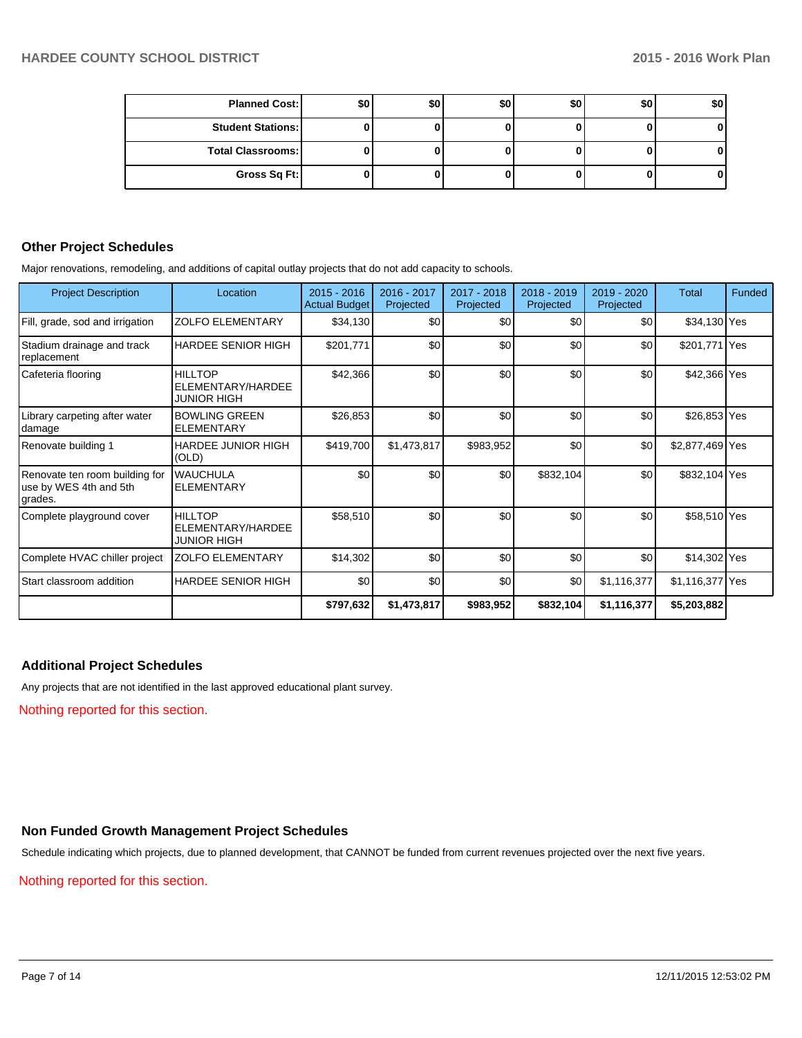| <b>Planned Cost:</b>     | \$0 | \$0 | \$0 | \$0 | \$0 | \$0 |
|--------------------------|-----|-----|-----|-----|-----|-----|
| <b>Student Stations:</b> |     |     |     |     |     |     |
| <b>Total Classrooms:</b> |     |     |     |     |     |     |
| Gross Sq Ft:             |     |     |     |     |     | 01  |

# **Other Project Schedules**

Major renovations, remodeling, and additions of capital outlay projects that do not add capacity to schools.

| <b>Project Description</b>                                           | Location                                                  | $2015 - 2016$<br><b>Actual Budget</b> | 2016 - 2017<br>Projected | 2017 - 2018<br>Projected | $2018 - 2019$<br>Projected | 2019 - 2020<br>Projected | Total           | Funded |
|----------------------------------------------------------------------|-----------------------------------------------------------|---------------------------------------|--------------------------|--------------------------|----------------------------|--------------------------|-----------------|--------|
| Fill, grade, sod and irrigation                                      | <b>ZOLFO ELEMENTARY</b>                                   | \$34,130                              | \$0                      | \$0                      | \$0                        | \$0                      | \$34,130 Yes    |        |
| Stadium drainage and track<br>replacement                            | <b>HARDEE SENIOR HIGH</b>                                 | \$201,771                             | \$0                      | \$0                      | \$0                        | \$0                      | \$201,771 Yes   |        |
| Cafeteria flooring                                                   | HII I TOP<br>ELEMENTARY/HARDEE<br><b>JUNIOR HIGH</b>      | \$42,366                              | \$0                      | \$0                      | \$0                        | \$0                      | \$42,366 Yes    |        |
| Library carpeting after water<br>damage                              | <b>BOWLING GREEN</b><br><b>ELEMENTARY</b>                 | \$26,853                              | \$0                      | \$0                      | \$0                        | \$0                      | \$26,853 Yes    |        |
| Renovate building 1                                                  | <b>HARDEE JUNIOR HIGH</b><br>(OLD)                        | \$419,700                             | \$1,473,817              | \$983,952                | \$0                        | \$0                      | \$2,877,469 Yes |        |
| Renovate ten room building for<br>luse by WES 4th and 5th<br>grades. | <b>WAUCHULA</b><br><b>ELEMENTARY</b>                      | \$0                                   | \$0                      | \$0                      | \$832,104                  | \$0                      | \$832,104 Yes   |        |
| Complete playground cover                                            | <b>HILLTOP</b><br>ELEMENTARY/HARDEE<br><b>JUNIOR HIGH</b> | \$58,510                              | \$0                      | \$0                      | \$0                        | \$0                      | \$58,510 Yes    |        |
| Complete HVAC chiller project                                        | <b>ZOLFO ELEMENTARY</b>                                   | \$14,302                              | \$0                      | \$0                      | \$0                        | \$0                      | \$14,302 Yes    |        |
| l Start classroom addition                                           | <b>HARDEE SENIOR HIGH</b>                                 | \$0                                   | \$0                      | \$0                      | \$0                        | \$1,116,377              | \$1,116,377 Yes |        |
|                                                                      |                                                           | \$797,632                             | \$1,473,817              | \$983,952                | \$832,104                  | \$1,116,377              | \$5,203,882     |        |

# **Additional Project Schedules**

Any projects that are not identified in the last approved educational plant survey.

Nothing reported for this section.

# **Non Funded Growth Management Project Schedules**

Schedule indicating which projects, due to planned development, that CANNOT be funded from current revenues projected over the next five years.

Nothing reported for this section.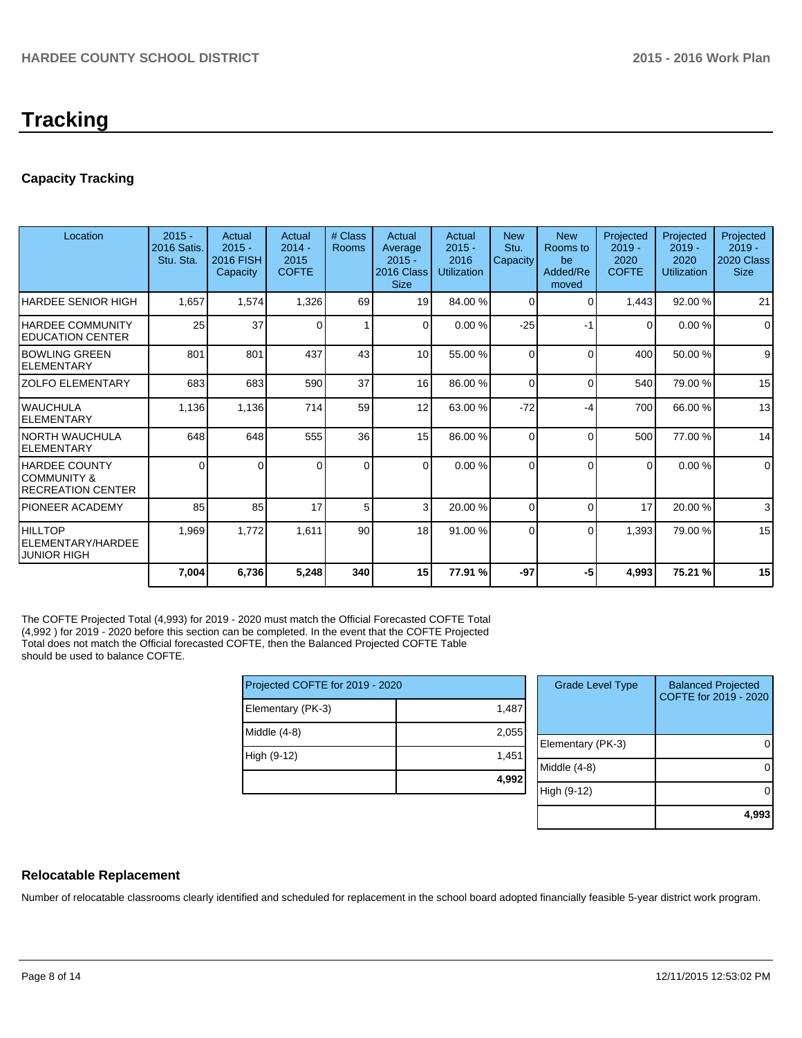# **Tracking**

# **Capacity Tracking**

| Location                                                         | $2015 -$<br>2016 Satis.<br>Stu. Sta. | Actual<br>$2015 -$<br>2016 FISH<br>Capacity | Actual<br>$2014 -$<br>2015<br><b>COFTE</b> | # Class<br><b>Rooms</b> | Actual<br>Average<br>$2015 -$<br>2016 Class<br><b>Size</b> | Actual<br>$2015 -$<br>2016<br><b>Utilization</b> | <b>New</b><br>Stu.<br>Capacity | <b>New</b><br>Rooms to<br>be<br>Added/Re<br>moved | Projected<br>$2019 -$<br>2020<br><b>COFTE</b> | Projected<br>$2019 -$<br>2020<br><b>Utilization</b> | Projected<br>$2019 -$<br>2020 Class<br><b>Size</b> |
|------------------------------------------------------------------|--------------------------------------|---------------------------------------------|--------------------------------------------|-------------------------|------------------------------------------------------------|--------------------------------------------------|--------------------------------|---------------------------------------------------|-----------------------------------------------|-----------------------------------------------------|----------------------------------------------------|
| <b>HARDEE SENIOR HIGH</b>                                        | 1,657                                | 1,574                                       | 1,326                                      | 69                      | 19                                                         | 84.00 %                                          | $\Omega$                       | $\Omega$                                          | 1,443                                         | 92.00 %                                             | 21                                                 |
| IHARDEE COMMUNITY<br><b>IEDUCATION CENTER</b>                    | 25                                   | 37                                          | 0                                          | 1                       | $\Omega$                                                   | 0.00%                                            | $-25$                          | -1                                                | 0                                             | 0.00%                                               | $\Omega$                                           |
| <b>IBOWLING GREEN</b><br>IELEMENTARY                             | 801                                  | 801                                         | 437                                        | 43                      | 10 <sup>1</sup>                                            | 55.00 %                                          | $\Omega$                       | $\Omega$                                          | 400                                           | 50.00 %                                             | 9                                                  |
| IZOLFO ELEMENTARY                                                | 683                                  | 683                                         | 590                                        | 37                      | 16                                                         | 86.00 %                                          | $\Omega$                       | $\Omega$                                          | 540                                           | 79.00 %                                             | 15                                                 |
| IWAUCHULA<br><b>IELEMENTARY</b>                                  | 1,136                                | 1,136                                       | 714                                        | 59                      | 12                                                         | 63.00 %                                          | $-72$                          | -4                                                | 700                                           | 66.00 %                                             | 13                                                 |
| <b>NORTH WAUCHULA</b><br>IELEMENTARY                             | 648                                  | 648                                         | 555                                        | 36                      | 15                                                         | 86.00 %                                          | $\Omega$                       | $\Omega$                                          | 500                                           | 77.00 %                                             | 14                                                 |
| <b>HARDEE COUNTY</b><br>ICOMMUNITY &<br><b>RECREATION CENTER</b> | $\Omega$                             | 0                                           | O                                          | $\Omega$                | $\Omega$                                                   | 0.00%                                            | $\Omega$                       | $\Omega$                                          | $\Omega$                                      | 0.00%                                               | $\Omega$                                           |
| IPIONEER ACADEMY                                                 | 85                                   | 85                                          | 17                                         | 5                       | $\mathcal{E}$                                              | 20.00 %                                          | $\Omega$                       | $\Omega$                                          | 17                                            | 20.00 %                                             | 3                                                  |
| HILLTOP<br>ELEMENTARY/HARDEE<br><b>JUNIOR HIGH</b>               | 1,969                                | 1,772                                       | 1,611                                      | 90 <sup>°</sup>         | 18                                                         | 91.00 %                                          | $\Omega$                       | $\Omega$                                          | 1,393                                         | 79.00 %                                             | 15                                                 |
|                                                                  | 7,004                                | 6,736                                       | 5,248                                      | 340                     | 15                                                         | 77.91 %                                          | $-97$                          | -5                                                | 4,993                                         | 75.21 %                                             | 15                                                 |

The COFTE Projected Total (4,993) for 2019 - 2020 must match the Official Forecasted COFTE Total (4,992 ) for 2019 - 2020 before this section can be completed. In the event that the COFTE Projected Total does not match the Official forecasted COFTE, then the Balanced Projected COFTE Table should be used to balance COFTE.

| Projected COFTE for 2019 - 2020 |       |  |  |  |  |
|---------------------------------|-------|--|--|--|--|
| Elementary (PK-3)               | 1,487 |  |  |  |  |
| Middle (4-8)                    | 2,055 |  |  |  |  |
| High (9-12)                     | 1,451 |  |  |  |  |
|                                 | 4,992 |  |  |  |  |

| <b>Grade Level Type</b> | <b>Balanced Projected</b><br>COFTE for 2019 - 2020 |
|-------------------------|----------------------------------------------------|
| Elementary (PK-3)       |                                                    |
| Middle (4-8)            |                                                    |
| High (9-12)             |                                                    |
|                         | 4,993                                              |

# **Relocatable Replacement**

Number of relocatable classrooms clearly identified and scheduled for replacement in the school board adopted financially feasible 5-year district work program.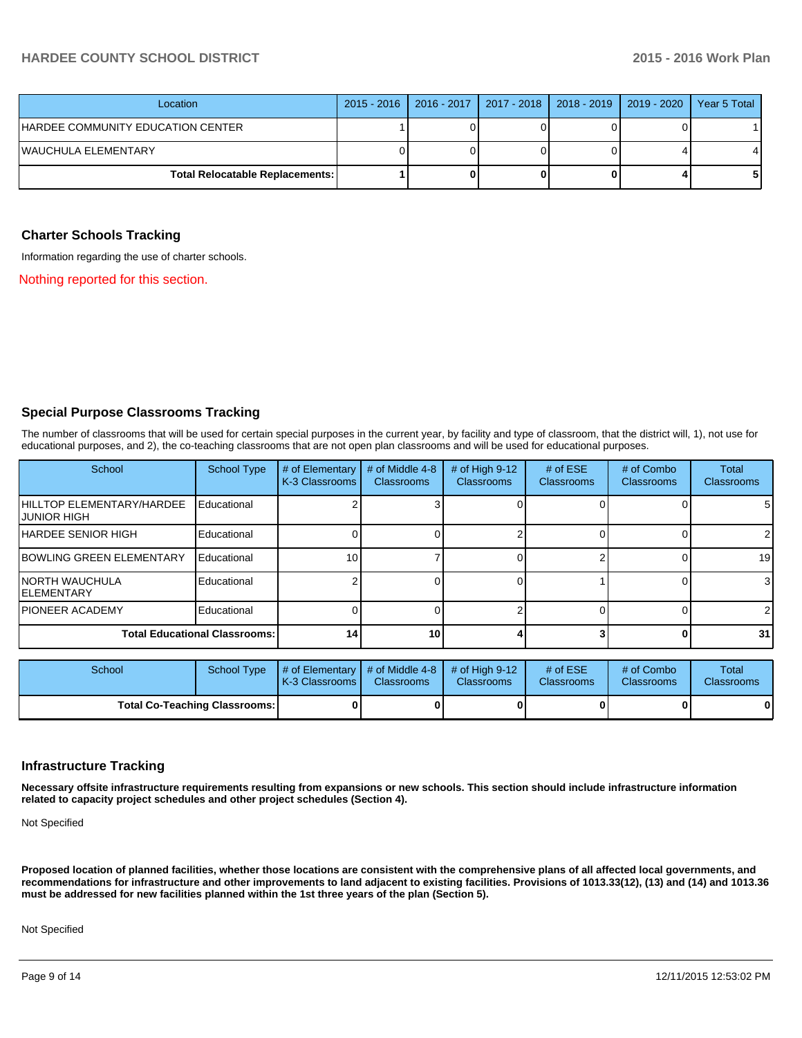# **HARDEE COUNTY SCHOOL DISTRICT 2015 - 2016 Work Plan**

| Location                               | 2015 - 2016   2016 - 2017   2017 - 2018   2018 - 2019   2019 - 2020 |  | Year 5 Total |
|----------------------------------------|---------------------------------------------------------------------|--|--------------|
| IHARDEE COMMUNITY EDUCATION CENTER     |                                                                     |  |              |
| IWAUCHULA ELEMENTARY                   |                                                                     |  |              |
| <b>Total Relocatable Replacements:</b> |                                                                     |  |              |

#### **Charter Schools Tracking**

Information regarding the use of charter schools.

Nothing reported for this section.

#### **Special Purpose Classrooms Tracking**

The number of classrooms that will be used for certain special purposes in the current year, by facility and type of classroom, that the district will, 1), not use for educational purposes, and 2), the co-teaching classrooms that are not open plan classrooms and will be used for educational purposes.

| School                                       | <b>School Type</b> | # of Elementary<br>K-3 Classrooms | # of Middle 4-8<br><b>Classrooms</b> | # of High $9-12$<br><b>Classrooms</b> | # of $ESE$<br><b>Classrooms</b> | # of Combo<br><b>Classrooms</b> | <b>Total</b><br><b>Classrooms</b> |
|----------------------------------------------|--------------------|-----------------------------------|--------------------------------------|---------------------------------------|---------------------------------|---------------------------------|-----------------------------------|
| HILLTOP ELEMENTARY/HARDEE<br>IJUNIOR HIGH    | Educational        |                                   |                                      |                                       |                                 |                                 | 5                                 |
| <b>HARDEE SENIOR HIGH</b>                    | Educational        |                                   |                                      |                                       |                                 |                                 | 2                                 |
| <b>BOWLING GREEN ELEMENTARY</b>              | Educational        | 10 <sub>1</sub>                   |                                      |                                       |                                 |                                 | 19                                |
| <b>INORTH WAUCHULA</b><br><b>IELEMENTARY</b> | Educational        |                                   |                                      |                                       |                                 |                                 | 3                                 |
| IPIONEER ACADEMY                             | Educational        |                                   |                                      |                                       |                                 |                                 | 2                                 |
| <b>Total Educational Classrooms:</b>         |                    | 14                                | 10 <sup>1</sup>                      |                                       |                                 |                                 | 31                                |

| School                               | School Type | # of Elementary  # of Middle 4-8  # of High 9-12  #<br><b>IK-3 Classrooms I</b> | <b>Classrooms</b> | <b>Classrooms</b> | # of $ESE$<br><b>Classrooms</b> | # of Combo<br><b>Classrooms</b> | Total<br><b>Classrooms</b> |
|--------------------------------------|-------------|---------------------------------------------------------------------------------|-------------------|-------------------|---------------------------------|---------------------------------|----------------------------|
| <b>Total Co-Teaching Classrooms:</b> |             |                                                                                 |                   |                   |                                 | 0                               | 0                          |

#### **Infrastructure Tracking**

**Necessary offsite infrastructure requirements resulting from expansions or new schools. This section should include infrastructure information related to capacity project schedules and other project schedules (Section 4).**

Not Specified

**Proposed location of planned facilities, whether those locations are consistent with the comprehensive plans of all affected local governments, and recommendations for infrastructure and other improvements to land adjacent to existing facilities. Provisions of 1013.33(12), (13) and (14) and 1013.36 must be addressed for new facilities planned within the 1st three years of the plan (Section 5).**

Not Specified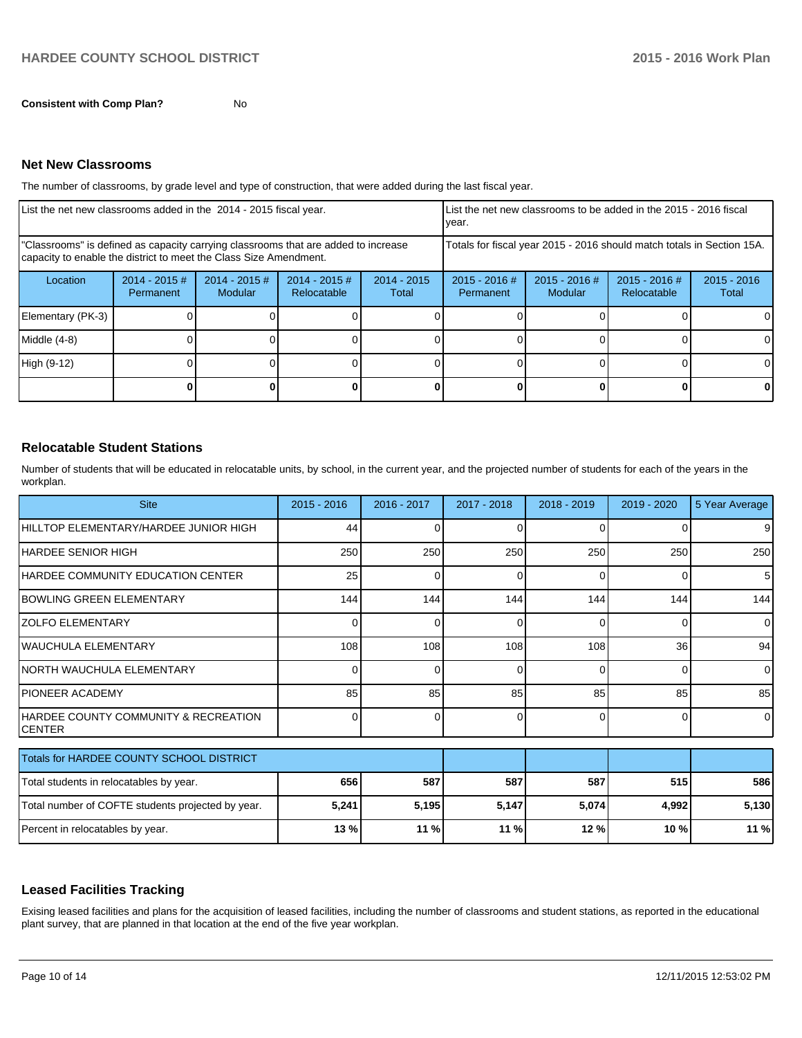**Consistent with Comp Plan?** No

#### **Net New Classrooms**

The number of classrooms, by grade level and type of construction, that were added during the last fiscal year.

| List the net new classrooms added in the 2014 - 2015 fiscal year.                                                                                       |                                     |                            |                                |                        | List the net new classrooms to be added in the 2015 - 2016 fiscal<br>Ivear. |                            |                                |                        |  |
|---------------------------------------------------------------------------------------------------------------------------------------------------------|-------------------------------------|----------------------------|--------------------------------|------------------------|-----------------------------------------------------------------------------|----------------------------|--------------------------------|------------------------|--|
| "Classrooms" is defined as capacity carrying classrooms that are added to increase<br>capacity to enable the district to meet the Class Size Amendment. |                                     |                            |                                |                        | Totals for fiscal year 2015 - 2016 should match totals in Section 15A.      |                            |                                |                        |  |
| Location                                                                                                                                                | $2014 - 2015$ #<br><b>Permanent</b> | $2014 - 2015$ #<br>Modular | $2014 - 2015$ #<br>Relocatable | $2014 - 2015$<br>Total | 2015 - 2016 #<br>Permanent                                                  | $2015 - 2016$ #<br>Modular | $2015 - 2016$ #<br>Relocatable | $2015 - 2016$<br>Total |  |
| Elementary (PK-3)                                                                                                                                       |                                     |                            |                                |                        |                                                                             |                            |                                |                        |  |
| Middle (4-8)                                                                                                                                            |                                     |                            |                                |                        |                                                                             |                            |                                |                        |  |
| High (9-12)                                                                                                                                             |                                     |                            |                                |                        |                                                                             |                            |                                |                        |  |
|                                                                                                                                                         |                                     |                            |                                |                        |                                                                             |                            |                                |                        |  |

# **Relocatable Student Stations**

Number of students that will be educated in relocatable units, by school, in the current year, and the projected number of students for each of the years in the workplan.

| <b>Site</b>                                                | $2015 - 2016$ | $2016 - 2017$ | 2017 - 2018  | $2018 - 2019$ | 2019 - 2020 | 5 Year Average |
|------------------------------------------------------------|---------------|---------------|--------------|---------------|-------------|----------------|
| IHILLTOP ELEMENTARY/HARDEE JUNIOR HIGH                     | 44            |               |              | $\Omega$      |             | 9              |
| <b>IHARDEE SENIOR HIGH</b>                                 | 250           | 250           | 250          | 250           | 250         | 250            |
| HARDEE COMMUNITY EDUCATION CENTER                          | 25            |               |              |               |             | 5 <sup>1</sup> |
| <b>IBOWLING GREEN ELEMENTARY</b>                           | 144           | 144           | 144          | 144           | 144         | 144            |
| <b>ZOLFO ELEMENTARY</b>                                    | <sup>o</sup>  | U             | <sup>0</sup> | $\Omega$      | 0           | $\overline{0}$ |
| <b>IWAUCHULA ELEMENTARY</b>                                | 108           | 108           | 108          | 108           | 36          | 94             |
| INORTH WAUCHULA ELEMENTARY                                 | 0             | o             | 0            | $\Omega$      | 0           | $\overline{0}$ |
| <b>PIONEER ACADEMY</b>                                     | 85            | 85            | 85           | 85            | 85          | 85             |
| <b>IHARDEE COUNTY COMMUNITY &amp; RECREATION</b><br>CENTER | $\Omega$      | 0             | 0            | $\Omega$      | $\Omega$    | $\Omega$       |
| Totals for HARDEE COUNTY SCHOOL DISTRICT                   |               |               |              |               |             |                |
| Total students in relocatables by year.                    | 656           | 587           | 587          | 587           | 515         | 586            |
| Total number of COFTE students projected by year.          | 5,241         | 5,195         | 5,147        | 5,074         | 4,992       | 5,130          |

### **Leased Facilities Tracking**

Exising leased facilities and plans for the acquisition of leased facilities, including the number of classrooms and student stations, as reported in the educational plant survey, that are planned in that location at the end of the five year workplan.

Percent in relocatables by year. **13 % 11 % 11 % 12 % 10 % 11 %**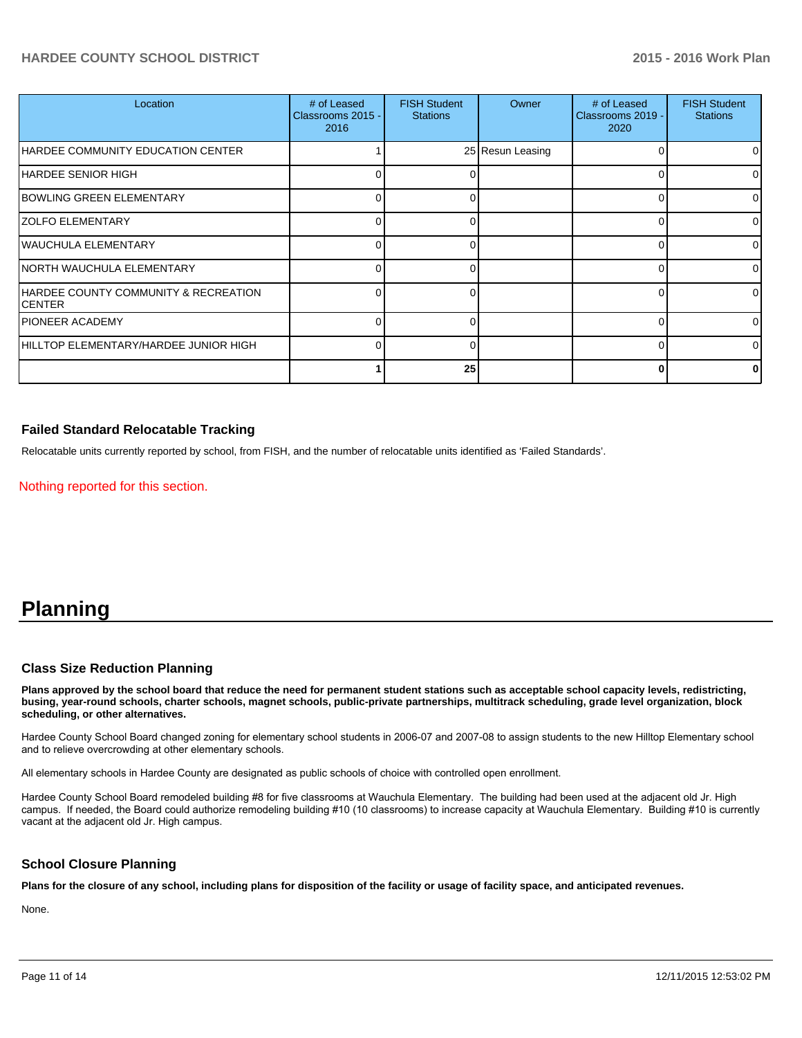# **HARDEE COUNTY SCHOOL DISTRICT 2015 - 2016 Work Plan**

| Location                                              | # of Leased<br>Classrooms 2015 -<br>2016 | <b>FISH Student</b><br><b>Stations</b> | Owner            | # of Leased<br>Classrooms 2019 -<br>2020 | <b>FISH Student</b><br><b>Stations</b> |
|-------------------------------------------------------|------------------------------------------|----------------------------------------|------------------|------------------------------------------|----------------------------------------|
| HARDEE COMMUNITY EDUCATION CENTER                     |                                          |                                        | 25 Resun Leasing |                                          | $\Omega$                               |
| HARDEE SENIOR HIGH                                    |                                          |                                        |                  |                                          | 01                                     |
| BOWLING GREEN ELEMENTARY                              |                                          |                                        |                  |                                          | $\Omega$                               |
| <b>ZOLFO ELEMENTARY</b>                               |                                          |                                        |                  |                                          | ΩI                                     |
| WAUCHULA ELEMENTARY                                   |                                          |                                        |                  |                                          | 0                                      |
| INORTH WAUCHULA ELEMENTARY                            |                                          |                                        |                  |                                          | 01                                     |
| HARDEE COUNTY COMMUNITY & RECREATION<br><b>CENTER</b> |                                          |                                        |                  |                                          | 01                                     |
| <b>PIONEER ACADEMY</b>                                |                                          |                                        |                  |                                          | $\Omega$                               |
| HILLTOP ELEMENTARY/HARDEE JUNIOR HIGH                 |                                          |                                        |                  |                                          | ΩI                                     |
|                                                       |                                          | 25                                     |                  |                                          | <sup>0</sup>                           |

### **Failed Standard Relocatable Tracking**

Relocatable units currently reported by school, from FISH, and the number of relocatable units identified as 'Failed Standards'.

Nothing reported for this section.

# **Planning**

### **Class Size Reduction Planning**

**Plans approved by the school board that reduce the need for permanent student stations such as acceptable school capacity levels, redistricting, busing, year-round schools, charter schools, magnet schools, public-private partnerships, multitrack scheduling, grade level organization, block scheduling, or other alternatives.**

Hardee County School Board changed zoning for elementary school students in 2006-07 and 2007-08 to assign students to the new Hilltop Elementary school and to relieve overcrowding at other elementary schools.

All elementary schools in Hardee County are designated as public schools of choice with controlled open enrollment.

Hardee County School Board remodeled building #8 for five classrooms at Wauchula Elementary. The building had been used at the adjacent old Jr. High campus. If needed, the Board could authorize remodeling building #10 (10 classrooms) to increase capacity at Wauchula Elementary. Building #10 is currently vacant at the adjacent old Jr. High campus.

#### **School Closure Planning**

**Plans for the closure of any school, including plans for disposition of the facility or usage of facility space, and anticipated revenues.**

None.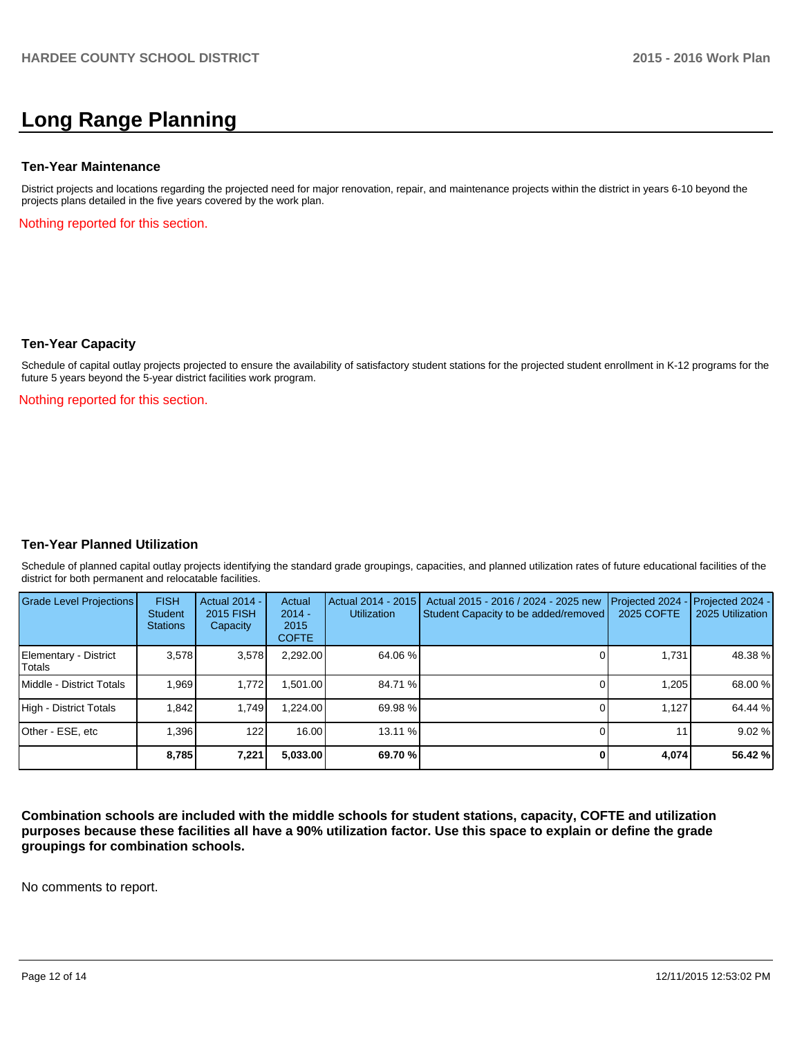# **Long Range Planning**

#### **Ten-Year Maintenance**

District projects and locations regarding the projected need for major renovation, repair, and maintenance projects within the district in years 6-10 beyond the projects plans detailed in the five years covered by the work plan.

Nothing reported for this section.

#### **Ten-Year Capacity**

Schedule of capital outlay projects projected to ensure the availability of satisfactory student stations for the projected student enrollment in K-12 programs for the future 5 years beyond the 5-year district facilities work program.

Nothing reported for this section.

### **Ten-Year Planned Utilization**

Schedule of planned capital outlay projects identifying the standard grade groupings, capacities, and planned utilization rates of future educational facilities of the district for both permanent and relocatable facilities.

| <b>Grade Level Projections</b>  | <b>FISH</b><br><b>Student</b><br><b>Stations</b> | Actual 2014 -<br>2015 FISH<br>Capacity | Actual<br>$2014 -$<br>2015<br><b>COFTE</b> | Actual 2014 - 2015<br><b>Utilization</b> | Actual 2015 - 2016 / 2024 - 2025 new<br>Student Capacity to be added/removed | Projected 2024<br>2025 COFTE | $-$ Projected 2024 -<br>2025 Utilization |
|---------------------------------|--------------------------------------------------|----------------------------------------|--------------------------------------------|------------------------------------------|------------------------------------------------------------------------------|------------------------------|------------------------------------------|
| Elementary - District<br>Totals | 3.578                                            | 3,578                                  | 2,292.00                                   | 64.06 %                                  |                                                                              | 1,731                        | 48.38 %                                  |
| Middle - District Totals        | 1.969                                            | 1.772                                  | .501.00                                    | 84.71 %                                  |                                                                              | 1.205                        | 68.00 %                                  |
| High - District Totals          | 1.842                                            | 1.749                                  | .224.00                                    | 69.98 %                                  |                                                                              | 1.127                        | 64.44 %                                  |
| Other - ESE, etc                | 1,396                                            | 122                                    | 16.00                                      | 13.11 %                                  |                                                                              | 11 <sub>1</sub>              | 9.02%                                    |
|                                 | 8,785                                            | 7,221                                  | 5,033.00                                   | 69.70 %                                  |                                                                              | 4,074                        | 56.42 %                                  |

**Combination schools are included with the middle schools for student stations, capacity, COFTE and utilization purposes because these facilities all have a 90% utilization factor. Use this space to explain or define the grade groupings for combination schools.**

No comments to report.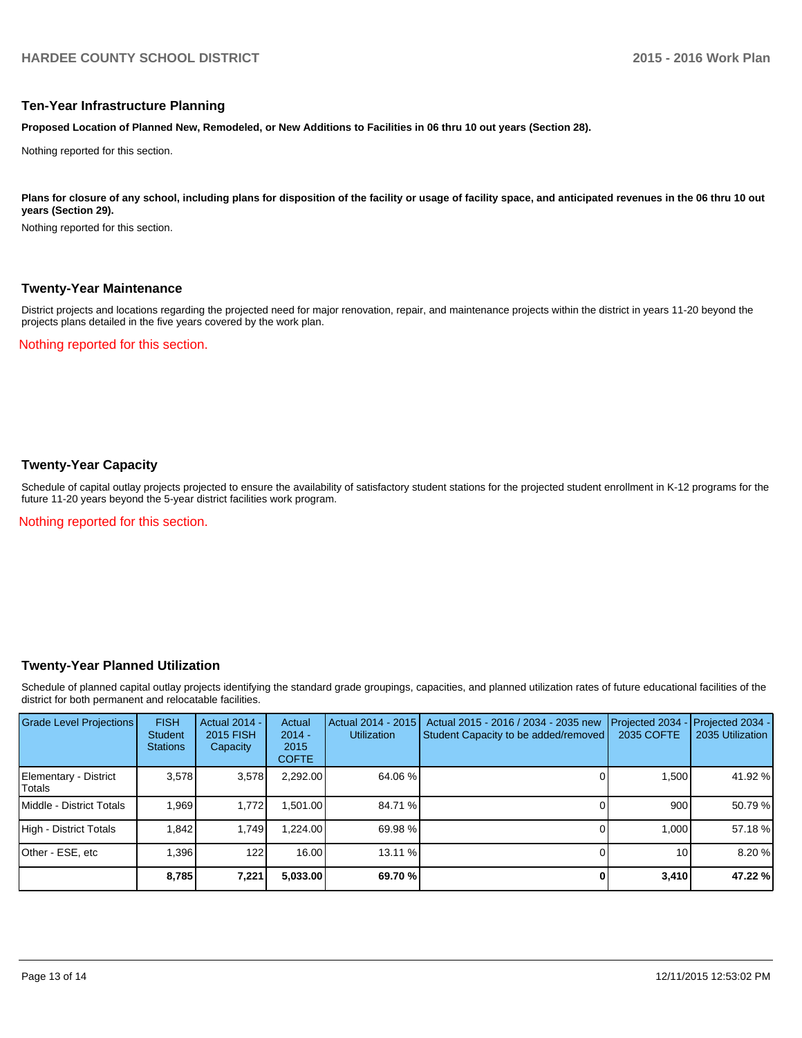#### **Ten-Year Infrastructure Planning**

**Proposed Location of Planned New, Remodeled, or New Additions to Facilities in 06 thru 10 out years (Section 28).**

Nothing reported for this section.

Plans for closure of any school, including plans for disposition of the facility or usage of facility space, and anticipated revenues in the 06 thru 10 out **years (Section 29).**

Nothing reported for this section.

#### **Twenty-Year Maintenance**

District projects and locations regarding the projected need for major renovation, repair, and maintenance projects within the district in years 11-20 beyond the projects plans detailed in the five years covered by the work plan.

Nothing reported for this section.

# **Twenty-Year Capacity**

Schedule of capital outlay projects projected to ensure the availability of satisfactory student stations for the projected student enrollment in K-12 programs for the future 11-20 years beyond the 5-year district facilities work program.

Nothing reported for this section.

### **Twenty-Year Planned Utilization**

Schedule of planned capital outlay projects identifying the standard grade groupings, capacities, and planned utilization rates of future educational facilities of the district for both permanent and relocatable facilities.

| <b>Grade Level Projections</b>   | <b>FISH</b><br><b>Student</b><br><b>Stations</b> | <b>Actual 2014 -</b><br>2015 FISH<br>Capacity | Actual<br>$2014 -$<br>2015<br><b>COFTE</b> | Actual 2014 - 2015<br><b>Utilization</b> | Actual 2015 - 2016 / 2034 - 2035 new<br>Student Capacity to be added/removed | Projected 2034<br>2035 COFTE | Projected 2034 -<br>2035 Utilization |
|----------------------------------|--------------------------------------------------|-----------------------------------------------|--------------------------------------------|------------------------------------------|------------------------------------------------------------------------------|------------------------------|--------------------------------------|
| Elementary - District<br> Totals | 3.578                                            | 3,578                                         | 2,292.00                                   | 64.06 %                                  |                                                                              | 1.500                        | 41.92 %                              |
| Middle - District Totals         | 1.969                                            | 1.772                                         | ,501.00                                    | 84.71 %                                  |                                                                              | 900                          | 50.79 %                              |
| High - District Totals           | 1.842                                            | 1.749                                         | 1.224.00                                   | 69.98 %                                  |                                                                              | 1.000                        | 57.18 %                              |
| Other - ESE, etc                 | .396                                             | 122                                           | 16.00                                      | $13.11\%$                                |                                                                              | 10                           | 8.20 %                               |
|                                  | 8,785                                            | 7,221                                         | 5,033.00                                   | 69.70 %                                  |                                                                              | 3,410                        | 47.22 %                              |